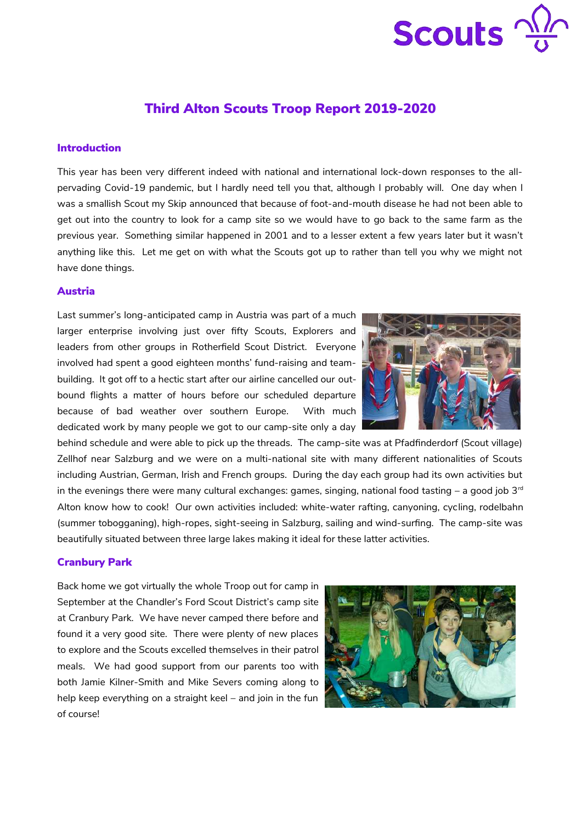

# Third Alton Scouts Troop Report 2019-2020

#### Introduction

This year has been very different indeed with national and international lock-down responses to the allpervading Covid-19 pandemic, but I hardly need tell you that, although I probably will. One day when I was a smallish Scout my Skip announced that because of foot-and-mouth disease he had not been able to get out into the country to look for a camp site so we would have to go back to the same farm as the previous year. Something similar happened in 2001 and to a lesser extent a few years later but it wasn't anything like this. Let me get on with what the Scouts got up to rather than tell you why we might not have done things.

#### Austria

Last summer's long-anticipated camp in Austria was part of a much larger enterprise involving just over fifty Scouts, Explorers and leaders from other groups in Rotherfield Scout District. Everyone involved had spent a good eighteen months' fund-raising and teambuilding. It got off to a hectic start after our airline cancelled our outbound flights a matter of hours before our scheduled departure because of bad weather over southern Europe. With much dedicated work by many people we got to our camp-site only a day



behind schedule and were able to pick up the threads. The camp-site was at Pfadfinderdorf (Scout village) Zellhof near Salzburg and we were on a multi-national site with many different nationalities of Scouts including Austrian, German, Irish and French groups. During the day each group had its own activities but in the evenings there were many cultural exchanges: games, singing, national food tasting – a good job  $3<sup>rd</sup>$ Alton know how to cook! Our own activities included: white-water rafting, canyoning, cycling, rodelbahn (summer tobogganing), high-ropes, sight-seeing in Salzburg, sailing and wind-surfing. The camp-site was beautifully situated between three large lakes making it ideal for these latter activities.

#### Cranbury Park

Back home we got virtually the whole Troop out for camp in September at the Chandler's Ford Scout District's camp site at Cranbury Park. We have never camped there before and found it a very good site. There were plenty of new places to explore and the Scouts excelled themselves in their patrol meals. We had good support from our parents too with both Jamie Kilner-Smith and Mike Severs coming along to help keep everything on a straight keel – and join in the fun of course!

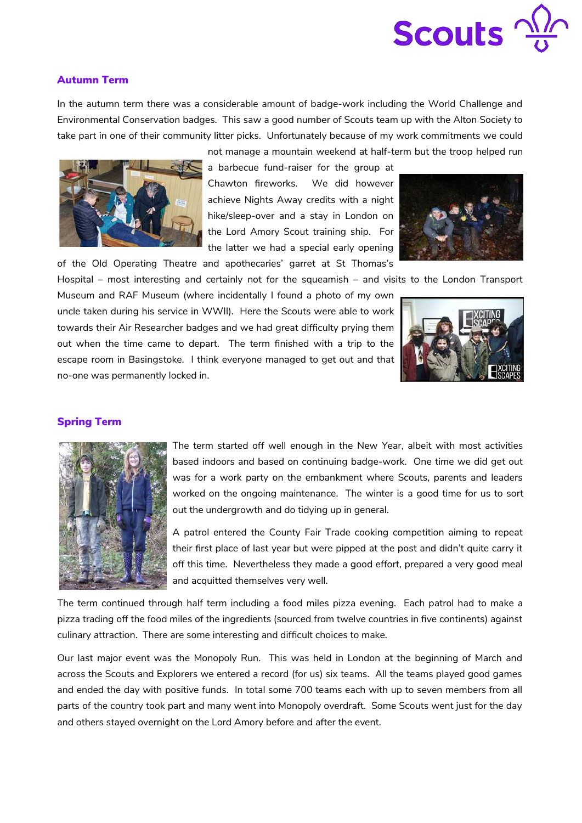

### Autumn Term

In the autumn term there was a considerable amount of badge-work including the World Challenge and Environmental Conservation badges. This saw a good number of Scouts team up with the Alton Society to take part in one of their community litter picks. Unfortunately because of my work commitments we could



a barbecue fund-raiser for the group at Chawton fireworks. We did however achieve Nights Away credits with a night hike/sleep-over and a stay in London on the Lord Amory Scout training ship. For the latter we had a special early opening of the Old Operating Theatre and apothecaries' garret at St Thomas's



Hospital – most interesting and certainly not for the squeamish – and visits to the London Transport

Museum and RAF Museum (where incidentally I found a photo of my own uncle taken during his service in WWII). Here the Scouts were able to work towards their Air Researcher badges and we had great difficulty prying them out when the time came to depart. The term finished with a trip to the escape room in Basingstoke. I think everyone managed to get out and that no-one was permanently locked in.



#### Spring Term



The term started off well enough in the New Year, albeit with most activities based indoors and based on continuing badge-work. One time we did get out was for a work party on the embankment where Scouts, parents and leaders worked on the ongoing maintenance. The winter is a good time for us to sort out the undergrowth and do tidying up in general.

A patrol entered the County Fair Trade cooking competition aiming to repeat their first place of last year but were pipped at the post and didn't quite carry it off this time. Nevertheless they made a good effort, prepared a very good meal and acquitted themselves very well.

The term continued through half term including a food miles pizza evening. Each patrol had to make a pizza trading off the food miles of the ingredients (sourced from twelve countries in five continents) against culinary attraction. There are some interesting and difficult choices to make.

Our last major event was the Monopoly Run. This was held in London at the beginning of March and across the Scouts and Explorers we entered a record (for us) six teams. All the teams played good games and ended the day with positive funds. In total some 700 teams each with up to seven members from all parts of the country took part and many went into Monopoly overdraft. Some Scouts went just for the day and others stayed overnight on the Lord Amory before and after the event.